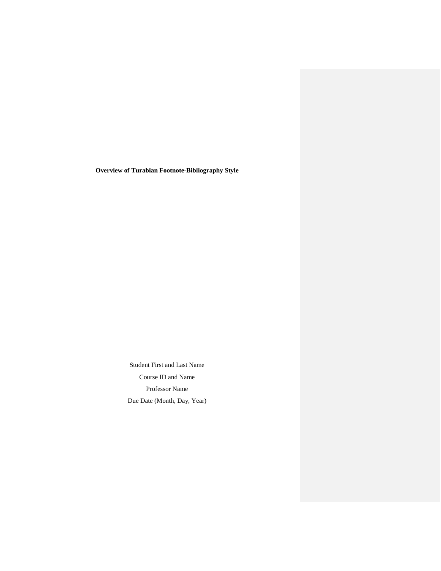**Overview of Turabian Footnote-Bibliography Style**

Student First and Last Name Course ID and Name Professor Name Due Date (Month, Day, Year)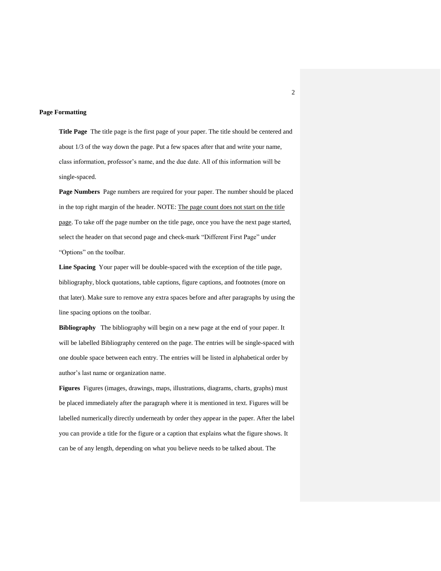### **Page Formatting**

**Title Page** The title page is the first page of your paper. The title should be centered and about 1/3 of the way down the page. Put a few spaces after that and write your name, class information, professor's name, and the due date. All of this information will be single-spaced.

**Page Numbers** Page numbers are required for your paper. The number should be placed in the top right margin of the header. NOTE: The page count does not start on the title page. To take off the page number on the title page, once you have the next page started, select the header on that second page and check-mark "Different First Page" under "Options" on the toolbar.

**Line Spacing** Your paper will be double-spaced with the exception of the title page, bibliography, block quotations, table captions, figure captions, and footnotes (more on that later). Make sure to remove any extra spaces before and after paragraphs by using the line spacing options on the toolbar.

**Bibliography** The bibliography will begin on a new page at the end of your paper. It will be labelled Bibliography centered on the page. The entries will be single-spaced with one double space between each entry. The entries will be listed in alphabetical order by author's last name or organization name.

**Figures** Figures (images, drawings, maps, illustrations, diagrams, charts, graphs) must be placed immediately after the paragraph where it is mentioned in text. Figures will be labelled numerically directly underneath by order they appear in the paper. After the label you can provide a title for the figure or a caption that explains what the figure shows. It can be of any length, depending on what you believe needs to be talked about. The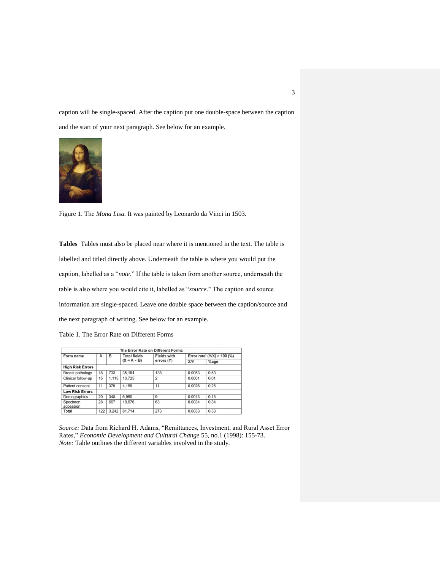caption will be single-spaced. After the caption put one double-space between the caption and the start of your next paragraph. See below for an example.



Figure 1. The *Mona Lisa.* It was painted by Leonardo da Vinci in 1503.

**Tables** Tables must also be placed near where it is mentioned in the text. The table is labelled and titled directly above. Underneath the table is where you would put the caption, labelled as a "*note*." If the table is taken from another source, underneath the table is also where you would cite it, labelled as "*source*." The caption and source information are single-spaced. Leave one double space between the caption/source and the next paragraph of writing. See below for an example.

Table 1. The Error Rate on Different Forms

| The Error Rate on Different Forms |     |       |                     |                    |                                             |         |
|-----------------------------------|-----|-------|---------------------|--------------------|---------------------------------------------|---------|
| Form name                         | А   | в     | <b>Total fields</b> | <b>Fields with</b> | Error rate <sup>*</sup> ( $Y/X$ ) × 100 (%) |         |
|                                   |     |       | $(X = A \times B)$  | errors (Y)         | <b>X/Y</b>                                  | $%$ age |
| <b>High Risk Errors</b>           |     |       |                     |                    |                                             |         |
| Breast pathology                  | 48  | 733   | 35,184              | 188                | 0.0053                                      | 0.53    |
| Clinical follow-up                | 15  | 1.115 | 16.725              | $\overline{2}$     | 0.0001                                      | 0.01    |
| Patient consent                   | 11  | 379   | 4.169               | 11                 | 0.0026                                      | 0.26    |
| <b>Low Risk Errors</b>            |     |       |                     |                    |                                             |         |
| Demographics                      | 20  | 348   | 6.960               | 9                  | 0.0013                                      | 0.13    |
| Specimen<br>accession             | 28  | 667   | 18,676              | 63                 | 0.0034                                      | 0.34    |
| Total                             | 122 | 3.242 | 81.714              | 273                | 0.0033                                      | 0.33    |

*Source:* Data from Richard H. Adams, "Remittances, Investment, and Rural Asset Error Rates," *Economic Development and Cultural Change* 55, no.1 (1998): 155-73. *Note:* Table outlines the different variables involved in the study.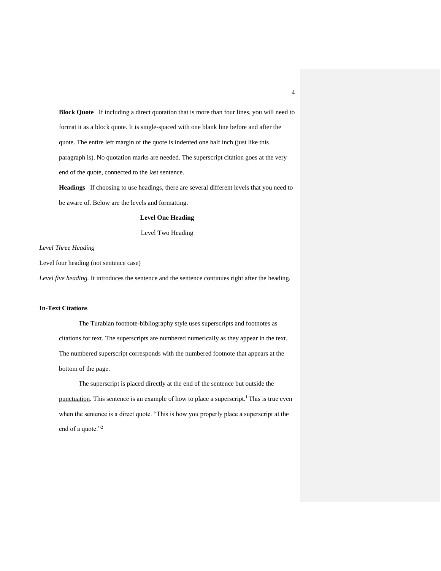**Block Quote** If including a direct quotation that is more than four lines, you will need to format it as a block quote. It is single-spaced with one blank line before and after the quote. The entire left margin of the quote is indented one half inch (just like this paragraph is). No quotation marks are needed. The superscript citation goes at the very end of the quote, connected to the last sentence.

**Headings** If choosing to use headings, there are several different levels that you need to be aware of. Below are the levels and formatting.

## **Level One Heading**

Level Two Heading

### *Level Three Heading*

Level four heading (not sentence case)

*Level five heading.* It introduces the sentence and the sentence continues right after the heading.

### **In-Text Citations**

The Turabian footnote-bibliography style uses superscripts and footnotes as citations for text. The superscripts are numbered numerically as they appear in the text. The numbered superscript corresponds with the numbered footnote that appears at the bottom of the page.

The superscript is placed directly at the end of the sentence but outside the punctuation. This sentence is an example of how to place a superscript.<sup>1</sup> This is true even when the sentence is a direct quote. "This is how you properly place a superscript at the end of a quote."<sup>2</sup>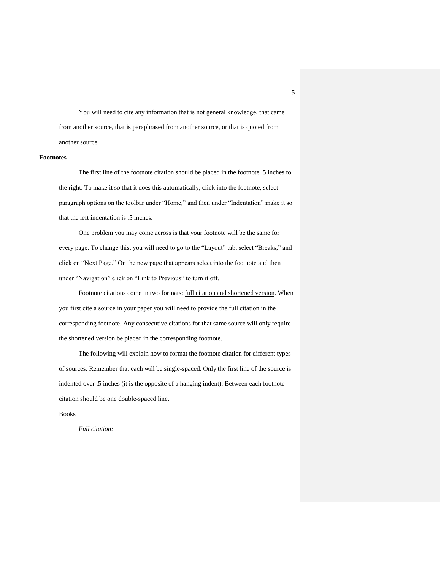You will need to cite any information that is not general knowledge, that came from another source, that is paraphrased from another source, or that is quoted from another source.

#### **Footnotes**

The first line of the footnote citation should be placed in the footnote .5 inches to the right. To make it so that it does this automatically, click into the footnote, select paragraph options on the toolbar under "Home," and then under "Indentation" make it so that the left indentation is .5 inches.

One problem you may come across is that your footnote will be the same for every page. To change this, you will need to go to the "Layout" tab, select "Breaks," and click on "Next Page." On the new page that appears select into the footnote and then under "Navigation" click on "Link to Previous" to turn it off.

Footnote citations come in two formats: full citation and shortened version. When you first cite a source in your paper you will need to provide the full citation in the corresponding footnote. Any consecutive citations for that same source will only require the shortened version be placed in the corresponding footnote.

The following will explain how to format the footnote citation for different types of sources. Remember that each will be single-spaced. Only the first line of the source is indented over .5 inches (it is the opposite of a hanging indent). Between each footnote citation should be one double-spaced line.

#### Books

*Full citation:*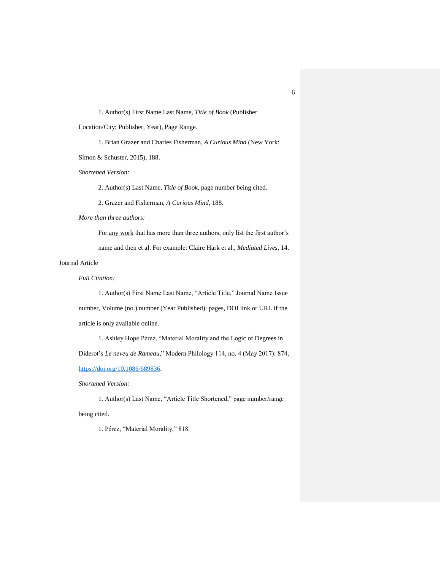1. Author(s) First Name Last Name, *Title of Book* (Publisher

Location/City: Publisher, Year), Page Range.

1. Brian Grazer and Charles Fisherman, *A Curious Mind* (New York:

Simon & Schuster, 2015), 188.

*Shortened Version:*

2. Author(s) Last Name, *Title of Book,* page number being cited.

2. Grazer and Fisherman, *A Curious Mind,* 188.

*More than three authors:*

For any work that has more than three authors, only list the first author's name and then et al. For example: Claire Hark et al., *Mediated Lives,* 14.

## Journal Article

### *Full Citation:*

1. Author(s) First Name Last Name, "Article Title," Journal Name Issue number, Volume (no.) number (Year Published): pages, DOI link or URL if the article is only available online.

1. Ashley Hope Pérez, "Material Morality and the Logic of Degrees in Diderot's *Le neveu de Rameau*," Modern Philology 114, no. 4 (May 2017): 874, [https://doi.org/10.1086/689836.](https://doi.org/10.1086/689836)

*Shortened Version:*

1. Author(s) Last Name, "Article Title Shortened," page number/range being cited.

1. Pérez, "Material Morality," 818.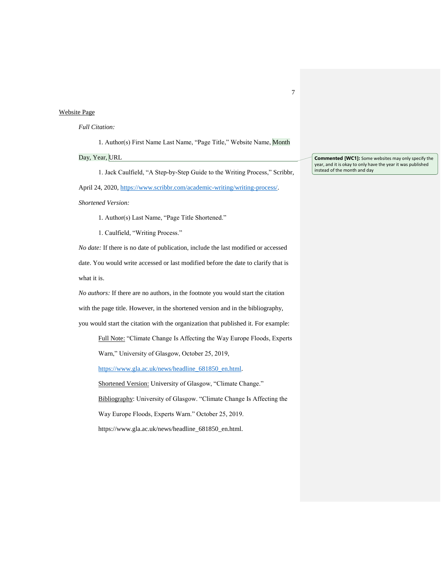## Website Page

### *Full Citation:*

1. Author(s) First Name Last Name, "Page Title," Website Name, Month

## Day, Year, URL

1. Jack Caulfield, "A Step-by-Step Guide to the Writing Process," Scribbr, April 24, 2020, [https://www.scribbr.com/academic-writing/writing-process/.](https://www.scribbr.com/academic-writing/writing-process/)

*Shortened Version:*

1. Author(s) Last Name, "Page Title Shortened."

1. Caulfield, "Writing Process."

*No date:* If there is no date of publication, include the last modified or accessed date. You would write accessed or last modified before the date to clarify that is what it is.

*No authors:* If there are no authors, in the footnote you would start the citation with the page title. However, in the shortened version and in the bibliography, you would start the citation with the organization that published it. For example:

Full Note: "Climate Change Is Affecting the Way Europe Floods, Experts

Warn," University of Glasgow, October 25, 2019,

[https://www.gla.ac.uk/news/headline\\_681850\\_en.html.](https://www.gla.ac.uk/news/headline_681850_en.html)

Shortened Version: University of Glasgow, "Climate Change."

Bibliography: University of Glasgow. "Climate Change Is Affecting the

Way Europe Floods, Experts Warn." October 25, 2019.

https://www.gla.ac.uk/news/headline\_681850\_en.html.

**Commented [WC1]:** Some websites may only specify the year, and it is okay to only have the year it was published instead of the month and day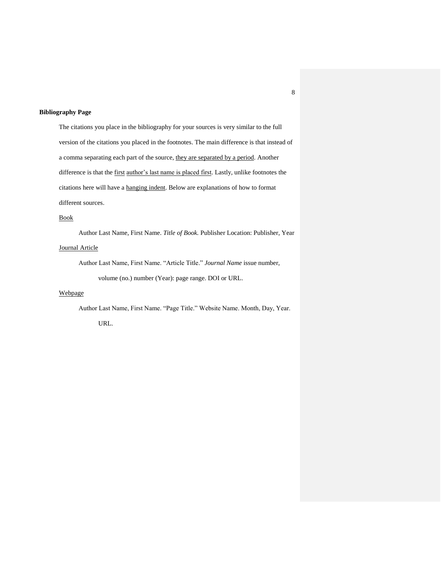### **Bibliography Page**

The citations you place in the bibliography for your sources is very similar to the full version of the citations you placed in the footnotes. The main difference is that instead of a comma separating each part of the source, they are separated by a period. Another difference is that the first author's last name is placed first. Lastly, unlike footnotes the citations here will have a hanging indent. Below are explanations of how to format different sources.

# Book

Author Last Name, First Name. *Title of Book.* Publisher Location: Publisher, Year Journal Article

Author Last Name, First Name. "Article Title." *Journal Name* issue number, volume (no.) number (Year): page range. DOI or URL.

# Webpage

Author Last Name, First Name. "Page Title." Website Name. Month, Day, Year.

URL.